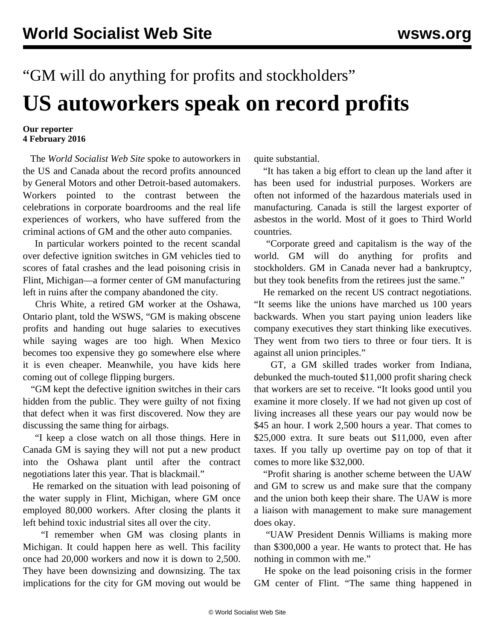## "GM will do anything for profits and stockholders" **US autoworkers speak on record profits**

## **Our reporter 4 February 2016**

 The *World Socialist Web Site* spoke to autoworkers in the US and Canada about the record profits announced by General Motors and other Detroit-based automakers. Workers pointed to the contrast between the celebrations in corporate boardrooms and the real life experiences of workers, who have suffered from the criminal actions of GM and the other auto companies.

 In particular workers pointed to the recent scandal over defective ignition switches in GM vehicles tied to scores of fatal crashes and the lead poisoning crisis in Flint, Michigan—a former center of GM manufacturing left in ruins after the company abandoned the city.

 Chris White, a retired GM worker at the Oshawa, Ontario plant, told the WSWS, "GM is making obscene profits and handing out huge salaries to executives while saying wages are too high. When Mexico becomes too expensive they go somewhere else where it is even cheaper. Meanwhile, you have kids here coming out of college flipping burgers.

 "GM kept the defective ignition switches in their cars hidden from the public. They were guilty of not fixing that defect when it was first discovered. Now they are discussing the same thing for airbags.

 "I keep a close watch on all those things. Here in Canada GM is saying they will not put a new product into the Oshawa plant until after the contract negotiations later this year. That is blackmail."

 He remarked on the situation with lead poisoning of the water supply in Flint, Michigan, where GM once employed 80,000 workers. After closing the plants it left behind toxic industrial sites all over the city.

 "I remember when GM was closing plants in Michigan. It could happen here as well. This facility once had 20,000 workers and now it is down to 2,500. They have been downsizing and downsizing. The tax implications for the city for GM moving out would be

quite substantial.

 "It has taken a big effort to clean up the land after it has been used for industrial purposes. Workers are often not informed of the hazardous materials used in manufacturing. Canada is still the largest exporter of asbestos in the world. Most of it goes to Third World countries.

 "Corporate greed and capitalism is the way of the world. GM will do anything for profits and stockholders. GM in Canada never had a bankruptcy, but they took benefits from the retirees just the same."

 He remarked on the recent US contract negotiations. "It seems like the unions have marched us 100 years backwards. When you start paying union leaders like company executives they start thinking like executives. They went from two tiers to three or four tiers. It is against all union principles."

 GT, a GM skilled trades worker from Indiana, debunked the much-touted \$11,000 profit sharing check that workers are set to receive. "It looks good until you examine it more closely. If we had not given up cost of living increases all these years our pay would now be \$45 an hour. I work 2,500 hours a year. That comes to \$25,000 extra. It sure beats out \$11,000, even after taxes. If you tally up overtime pay on top of that it comes to more like \$32,000.

 "Profit sharing is another scheme between the UAW and GM to screw us and make sure that the company and the union both keep their share. The UAW is more a liaison with management to make sure management does okay.

 "UAW President Dennis Williams is making more than \$300,000 a year. He wants to protect that. He has nothing in common with me."

 He spoke on the lead poisoning crisis in the former GM center of Flint. "The same thing happened in